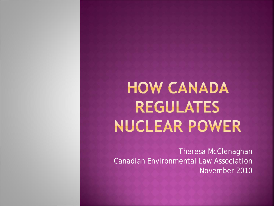# **HOW CANADA REGULATES** NUCLEAR POWER

Theresa McClenaghan Canadian Environmental Law Association November 2010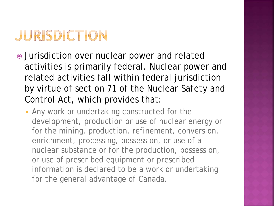# JURISDICTION

- Jurisdiction over nuclear power and related activities is primarily federal. Nuclear power and related activities fall within federal jurisdiction by virtue of section 71 of the *Nuclear Safety and Control Act,* which provides that:
	- **Any work or undertaking constructed for the** development, production or use of nuclear energy or for the mining, production, refinement, conversion, enrichment, processing, possession, or use of a nuclear substance or for the production, possession, or use of prescribed equipment or prescribed information is declared to be a work or undertaking *for the general advantage of Canada.*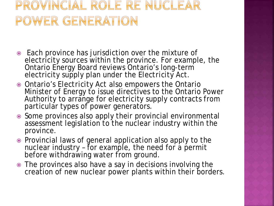#### PROVINCIAL ROLE RE NUCLEAR POWER GENERATION

- Each province has jurisdiction over the mixture of electricity sources within the province. For example, the Ontario Energy Board reviews Ontario's long-term electricity supply plan under the *Electricity Act*.
- Ontario's *Electricity Act* also empowers the Ontario Minister of Energy to issue directives to the Ontario Power Authority to arrange for electricity supply contracts from particular types of power generators.
- Some provinces also apply their provincial environmental assessment legislation to the nuclear industry within the province.
- Provincial laws of general application also apply to the nuclear industry - for example, the need for a permit before withdrawing water from ground.
- The provinces also have a say in decisions involving the creation of new nuclear power plants within their borders.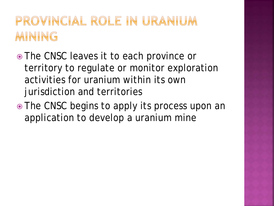### PROVINCIAL ROLE IN URANIUM MINING

- The CNSC leaves it to each province or territory to regulate or monitor exploration activities for uranium within its own jurisdiction and territories
- The CNSC begins to apply its process upon an application to develop a uranium mine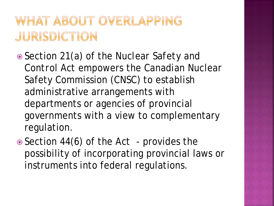#### WHAT ABOUT OVERLAPPING JURISDICTION

- Section 21(*a*) of the *Nuclear Safety and Control Act* empowers the Canadian Nuclear Safety Commission (CNSC) to establish administrative arrangements with departments or agencies of provincial governments with a view to complementary regulation.
- Section 44(6) of the *Act*  provides the possibility of incorporating provincial laws or instruments into federal regulations.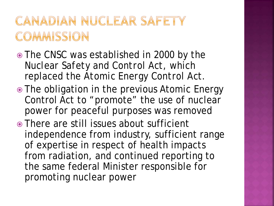#### CANADIAN NUCLEAR SAFETY COMMISSION

- The CNSC was established in 2000 by the *Nuclear Safety and Control Act*, which replaced the *Atomic Energy Control Act*.
- The obligation in the previous Atomic Energy Control Act to "promote" the use of nuclear power for peaceful purposes was removed
- There are still issues about sufficient independence from industry, sufficient range of expertise in respect of health impacts from radiation, and continued reporting to the same federal Minister responsible for promoting nuclear power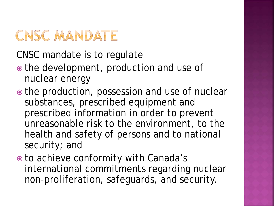### CNSC MANDATE

CNSC mandate is to regulate

- the development, production and use of nuclear energy
- the production, possession and use of nuclear substances, prescribed equipment and prescribed information in order to prevent unreasonable risk to the environment, to the health and safety of persons and to national security; and
- to achieve conformity with Canada's international commitments regarding nuclear non-proliferation, safeguards, and security.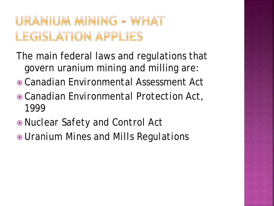### URANIUM MINING - WHAT LEGISLATION APPLIES

- The main federal laws and regulations that govern uranium mining and milling are:
- *Canadian Environmental Assessment Act*
- *Canadian Environmental Protection Act, 1999*
- *Nuclear Safety and Control Act*
- *Uranium Mines and Mills Regulations*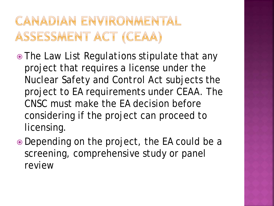#### CANADIAN ENVIRONMENTAL ASSESSMENT ACT (CEAA)

- The *Law List Regulations* stipulate that any project that requires a license under the *Nuclear Safety and Control Act* subjects the project to EA requirements under *CEAA*. The CNSC must make the EA decision before considering if the project can proceed to licensing.
- Depending on the project, the EA could be a screening, comprehensive study or panel review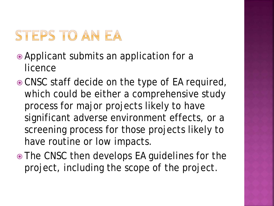### STEPS TO AN EA

- Applicant submits an application for a licence
- CNSC staff decide on the type of EA required, which could be either a comprehensive study process for major projects likely to have significant adverse environment effects, or a screening process for those projects likely to have routine or low impacts.
- The CNSC then develops EA guidelines for the project, including the scope of the project.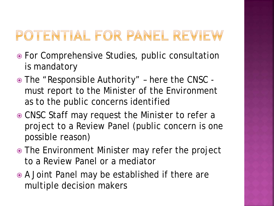# POTENTIAL FOR PANEL REVIEW

- For Comprehensive Studies, public consultation is mandatory
- The "Responsible Authority" here the CNSC must report to the Minister of the Environment as to the public concerns identified
- CNSC Staff may request the Minister to refer a project to a Review Panel (public concern is one possible reason)
- The Environment Minister may refer the project to a Review Panel or a mediator
- A Joint Panel may be established if there are multiple decision makers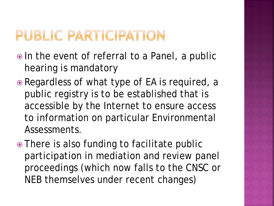### PUBLIC PARTICIPATION

- In the event of referral to a Panel, a public hearing is mandatory
- Regardless of what type of EA is required, a public registry is to be established that is accessible by the Internet to ensure access to information on particular Environmental Assessments.
- There is also funding to facilitate public participation in mediation and review panel proceedings (which now falls to the CNSC or NEB themselves under recent changes)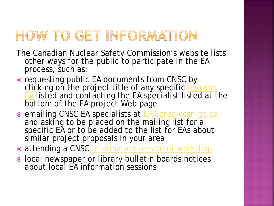### HOW TO GET INFORMATION

- The Canadian Nuclear Safety Commission's website lists other ways for the public to participate in the EA process, such as:
- requesting public EA documents from CNSC by clicking on the project title of any specific **ongoing [EA](http://www.cnsc-ccsn.gc.ca/eng/ea/ealist/ongoing/index.cfm)** listed and contacting the EA specialist listed at the bottom of the EA project Web page
- o emailing CNSC EA specialists at **EA@cnsc-ccsn.gc.ca** and asking to be placed on the mailing list for a specific EA or to be added to the list for EAs about similar project proposals in your area
- $\circ$  attending a CNSC [information session or workshop](http://www.cnsc-ccsn.gc.ca/eng/getinvolved/sessionworkshop/)
- $\bullet$  local newspaper or library bulletin boards notices about local EA information sessions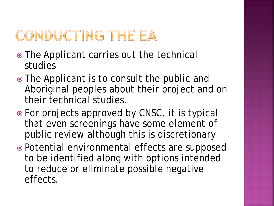# CONDUCTING THE EA

- The Applicant carries out the technical studies
- The Applicant is to consult the public and Aboriginal peoples about their project and on their technical studies.
- For projects approved by CNSC, it is typical that even screenings have some element of public review although this is discretionary
- Potential environmental effects are supposed to be identified along with options intended to reduce or eliminate possible negative effects.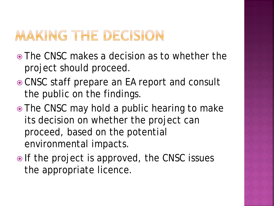### MAKING THE DECISION

- The CNSC makes a decision as to whether the project should proceed.
- CNSC staff prepare an EA report and consult the public on the findings.
- The CNSC may hold a public hearing to make its decision on whether the project can proceed, based on the potential environmental impacts.
- If the project is approved, the CNSC issues the appropriate licence.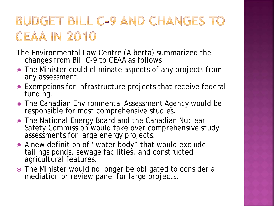### BUDGET BILL C-9 AND CHANGES TO **CEAA IN 2010**

- The Environmental Law Centre (Alberta) summarized the changes from Bill C-9 to CEAA as follows:
- The Minister could eliminate aspects of any projects from any assessment.
- Exemptions for infrastructure projects that receive federal funding.
- The Canadian Environmental Assessment Agency would be responsible for most comprehensive studies.
- The National Energy Board and the Canadian Nuclear Safety Commission would take over comprehensive study assessments for large energy projects.
- A new definition of "water body" that would exclude tailings ponds, sewage facilities, and constructed agricultural features.
- The Minister would no longer be obligated to consider a mediation or review panel for large projects.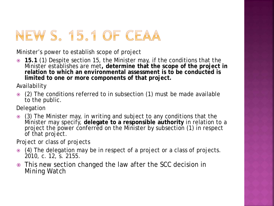### NEW S. 15.1 OF CEAA

Minister's power to establish scope of project

 **15.1** (1) Despite section 15, the Minister may, if the conditions that the Minister establishes are met**, determine that the scope of the project in**  relation to which an environmental assessment is to be conducted is **limited to one or more components of that project.**

Availability

 (2) The conditions referred to in subsection (1) must be made available to the public.

Delegation

 (3) The Minister may, in writing and subject to any conditions that the Minister may specify, **delegate to a responsible authority** in relation to a project the power conferred on the Minister by subsection (1) in respect of that project.

Project or class of projects

- (4) The delegation may be in respect of a project or a class of projects. 2010, c. 12, s. 2155.
- This new section changed the law after the SCC decision in *Mining Watch*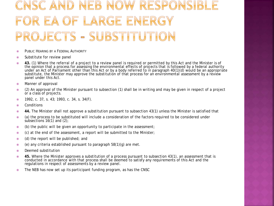#### NSC AND NEB NOW RESPONSIBL OR EA OF LARGE ENERGY PROJECTS - SUBSTITUTION

- **EXECUTE AS PUBLIC HEARING BY A FEDERAL AUTHORITY**
- Substitute for review panel
- **43.** (1) Where the referral of a project to a review panel is required or permitted by this Act and the Minister is of the opinion that a process for assessing the environmental effects of projects that is followed by a federal authority under an Act of Parliament other than this Act or by a body referred to in paragraph 40(1)(*d*) would be an appropriate substitute, the Minister may approve the substitution of that process for an environmental assessment by a review panel under this Act.
- Manner of approval
- (2) An approval of the Minister pursuant to subsection (1) shall be in writing and may be given in respect of a project or a class of projects.
- $\degree$  1992, c. 37, s. 43; 1993, c. 34, s. 34(F).
- **◎** Conditions
- **44.** The Minister shall not approve a substitution pursuant to subsection 43(1) unless the Minister is satisfied that
- (*a*) the process to be substituted will include a consideration of the factors required to be considered under subsections  $16(1)$  and  $(2)$ ;
- (*b*) the public will be given an opportunity to participate in the assessment;
- (*c*) at the end of the assessment, a report will be submitted to the Minister;
- (*d*) the report will be published; and
- (*e*) any criteria established pursuant to paragraph 58(1)(*g*) are met.
- Deemed substitution
- **45.** Where the Minister approves a substitution of a process pursuant to subsection 43(1), an assessment that is conducted in accordance with that process shall be deemed to satisfy any requirements of this Act and the regulations in respect of assessments by a review panel.
- The NEB has now set up its participant funding program, as has the CNSC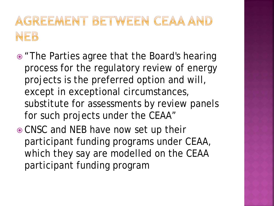#### AGREEMENT BETWEEN CEAA AND NEB

- "The Parties agree that the Board's hearing process for the regulatory review of energy projects is the preferred option and will, except in exceptional circumstances, substitute for assessments by review panels for such projects under the CEAA"
- CNSC and NEB have now set up their participant funding programs under CEAA, which they say are modelled on the CEAA participant funding program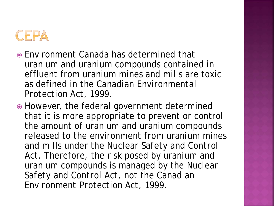

- Environment Canada has determined that uranium and uranium compounds contained in effluent from uranium mines and mills are toxic as defined in the *Canadian Environmental Protection Act, 1999*.
- However, the federal government determined that it is more appropriate to prevent or control the amount of uranium and uranium compounds released to the environment from uranium mines and mills under the *Nuclear Safety and Control Act*. Therefore, the risk posed by uranium and uranium compounds is managed by the *Nuclear Safety and Control Act*, not the *Canadian Environment Protection Act, 1999*.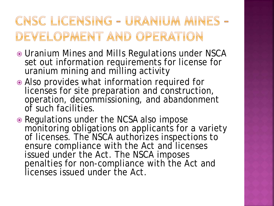#### CNSC LICENSING - URANIUM MINES -DEVELOPMENT AND OPERATION

- *Uranium Mines and Mills Regulations* under NSCA set out information requirements for license for uranium mining and milling activity
- Also provides what information required for licenses for site preparation and construction, operation, decommissioning, and abandonment of such facilities.
- Regulations under the NCSA also impose monitoring obligations on applicants for a variety of licenses. The **NSCA** authorizes inspections to ensure compliance with the *Act* and licenses issued under the *Act*. The *NSCA* imposes penalties for non-compliance with the *Act* and licenses issued under the *Act*.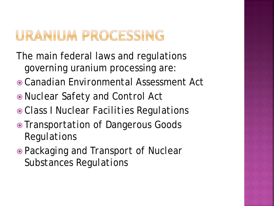#### URANIUM PROCESSING

- The main federal laws and regulations governing uranium processing are:
- *Canadian Environmental Assessment Act*
- *Nuclear Safety and Control Act*
- *Class I Nuclear Facilities Regulations*
- *Transportation of Dangerous Goods Regulations*
- *Packaging and Transport of Nuclear Substances Regulations*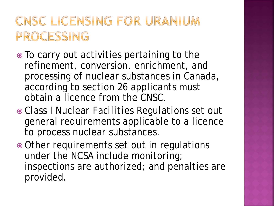#### CNSC LICENSING FOR URANIUM PROCESSING

- To carry out activities pertaining to the refinement, conversion, enrichment, and processing of nuclear substances in Canada, according to section 26 applicants must obtain a licence from the CNSC.
- *Class I Nuclear Facilities Regulations* set out general requirements applicable to a licence to process nuclear substances.
- Other requirements set out in regulations under the NCSA include monitoring; inspections are authorized; and penalties are provided.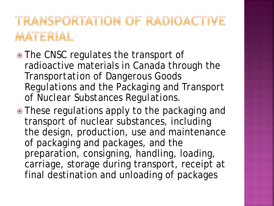#### TRANSPORTATION OF RADIOACTIVE MATERIAL

- The CNSC regulates the transport of radioactive materials in Canada through the *Transportation of Dangerous Goods Regulations* and the *Packaging and Transport of Nuclear Substances Regulations*.
- These regulations apply to the packaging and transport of nuclear substances, including the design, production, use and maintenance of packaging and packages, and the preparation, consigning, handling, loading, carriage, storage during transport, receipt at final destination and unloading of packages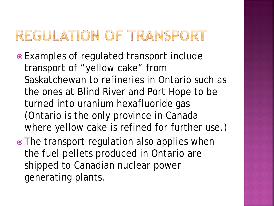#### REGULATION OF TRANSPORT

- Examples of regulated transport include transport of "yellow cake" from Saskatchewan to refineries in Ontario such as the ones at Blind River and Port Hope to be turned into uranium hexafluoride gas (Ontario is the only province in Canada where yellow cake is refined for further use.)
- The transport regulation also applies when the fuel pellets produced in Ontario are shipped to Canadian nuclear power generating plants.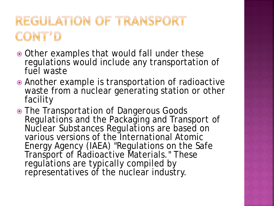### REGULATION OF TRANSPORT CONT'D

- Other examples that would fall under these regulations would include any transportation of fuel waste
- Another example is transportation of radioactive waste from a nuclear generating station or other facility
- The *Transportation of Dangerous Goods Regulations* and the *Packaging and Transport of Nuclear Substances Regulations* are based on various versions of the International Atomic Energy Agency (IAEA) "Regulations on the Safe Transport of Radioactive Materials." These regulations are typically compiled by representatives of the nuclear industry.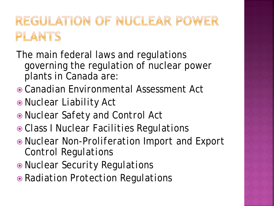### REGULATION OF NUCLEAR POWER PLANTS

- The main federal laws and regulations governing the regulation of nuclear power plants in Canada are:
- *Canadian Environmental Assessment Act*
- *Nuclear Liability Act*
- *Nuclear Safety and Control Act*
- *Class I Nuclear Facilities Regulations*
- *Nuclear Non-Proliferation Import and Export Control Regulations*
- *Nuclear Security Regulations*
- *Radiation Protection Regulations*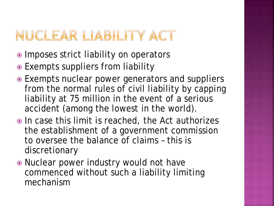### NUCLEAR LIABILITY ACT

- Imposes strict liability on operators
- Exempts suppliers from liability
- Exempts nuclear power generators and suppliers from the normal rules of civil liability by capping liability at 75 million in the event of a serious accident (among the lowest in the world).
- In case this limit is reached, the *Act* authorizes the establishment of a government commission to oversee the balance of claims – this is discretionary
- Nuclear power industry would not have commenced without such a liability limiting mechanism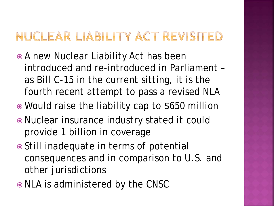#### NUCLEAR LIABILITY ACT REVISITED

- A new Nuclear Liability Act has been introduced and re-introduced in Parliament – as Bill C-15 in the current sitting, it is the fourth recent attempt to pass a revised NLA
- Would raise the liability cap to \$650 million
- Nuclear insurance industry stated it could provide 1 billion in coverage
- Still inadequate in terms of potential consequences and in comparison to U.S. and other jurisdictions
- NLA is administered by the CNSC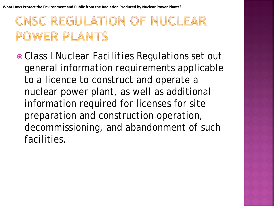### CNSC REGULATION OF NUCLEAR POWER PLANTS

 *Class I Nuclear Facilities Regulations* set out general information requirements applicable to a licence to construct and operate a nuclear power plant, as well as additional information required for licenses for site preparation and construction operation, decommissioning, and abandonment of such facilities.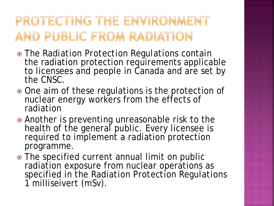#### PROTECTING THE ENVIRONMENT AND PUBLIC FROM RADIATION

- The *Radiation Protection Regulations* contain the radiation protection requirements applicable to licensees and people in Canada and are set by the CNSC.
- $\odot$  One aim of these regulations is the protection of nuclear energy workers from the effects of radiation
- Another is preventing unreasonable risk to the health of the general public. Every licensee is required to implement a radiation protection programme.
- The specified current annual limit on public radiation exposure from nuclear operations as specified in the *Radiation Protection Regulations*  1 milliseivert (mSv).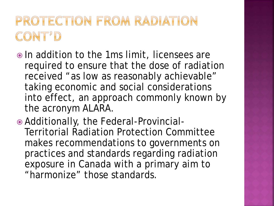#### PROTECTION FROM RADIATION CONT'D

- In addition to the 1ms limit, licensees are required to ensure that the dose of radiation received "as low as reasonably achievable" taking economic and social considerations into effect, an approach commonly known by the acronym ALARA.
- Additionally, the Federal-Provincial-Territorial Radiation Protection Committee makes recommendations to governments on practices and standards regarding radiation exposure in Canada with a primary aim to "harmonize" those standards.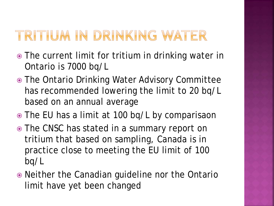#### TRITIUM IN DRINKING WATER

- The current limit for tritium in drinking water in Ontario is 7000 bq/L
- The Ontario Drinking Water Advisory Committee has recommended lowering the limit to 20 bq/L based on an annual average
- The EU has a limit at 100 bq/L by comparisaon
- The CNSC has stated in a summary report on tritium that based on sampling, Canada is in practice close to meeting the EU limit of 100 bq/L
- Neither the Canadian guideline nor the Ontario limit have yet been changed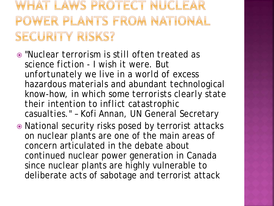#### WHAT LAWS PROTECT NUCLEAR POWER PLANTS FROM NATIONAL SECURITY RISKS?

- "*Nuclear terrorism is still often treated as science fiction - I wish it were. But unfortunately we live in a world of excess hazardous materials and abundant technological know-how, in which some terrorists clearly state their intention to inflict catastrophic casualties*." – Kofi Annan, UN General Secretary
- National security risks posed by terrorist attacks on nuclear plants are one of the main areas of concern articulated in the debate about continued nuclear power generation in Canada since nuclear plants are highly vulnerable to deliberate acts of sabotage and terrorist attack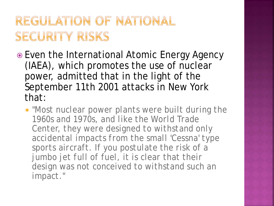#### REGULATION OF NATIONAL SECURITY RISKS

- Even the International Atomic Energy Agency (IAEA), which promotes the use of nuclear power, admitted that in the light of the September 11th 2001 attacks in New York that:
	- *"Most nuclear power plants were built during the 1960s and 1970s, and like the World Trade Center, they were designed to withstand only accidental impacts from the small 'Cessna' type sports aircraft. If you postulate the risk of a jumbo jet full of fuel, it is clear that their design was not conceived to withstand such an impact."*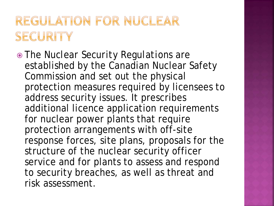#### REGULATION FOR NUCLEAR SECURITY

 The *Nuclear Security Regulations* are established by the Canadian Nuclear Safety Commission and set out the physical protection measures required by licensees to address security issues. It prescribes additional licence application requirements for nuclear power plants that require protection arrangements with off-site response forces, site plans, proposals for the structure of the nuclear security officer service and for plants to assess and respond to security breaches, as well as threat and risk assessment.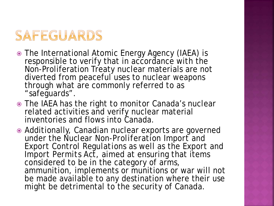### SAFEGUARDS

- The International Atomic Energy Agency (IAEA) is responsible to verify that in accordance with the Non-Proliferation Treaty nuclear materials are not diverted from peaceful uses to nuclear weapons through what are commonly referred to as "safeguards".
- **The IAEA has the right to monitor Canada's nuclear** related activities and verify nuclear material inventories and flows into Canada.

 Additionally, Canadian nuclear exports are governed under the *Nuclear Non-Proliferation Import and Export Control Regulations* as well as the *Export and Import Permits Act*, aimed at ensuring that items considered to be in the category of arms, ammunition, implements or munitions or war will not be made available to any destination where their use might be detrimental to the security of Canada.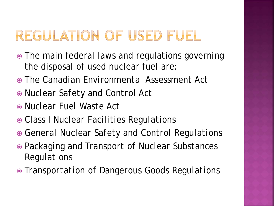#### REGULATION OF USED FUEL

- The main federal laws and regulations governing the disposal of used nuclear fuel are:
- The *Canadian Environmental Assessment Act*
- *Nuclear Safety and Control Act*
- *Nuclear Fuel Waste Act*
- *Class I Nuclear Facilities Regulations*
- *General Nuclear Safety and Control Regulations*
- *Packaging and Transport of Nuclear Substances Regulations*
- *Transportation of Dangerous Goods Regulations*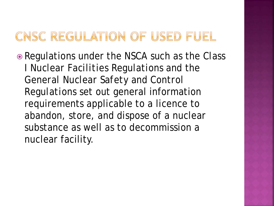#### CNSC REGULATION OF USED FUEL

 Regulations under the *NSCA* such as the *Class I Nuclear Facilities Regulations* and the *General Nuclear Safety and Control Regulations* set out general information requirements applicable to a licence to abandon, store, and dispose of a nuclear substance as well as to decommission a nuclear facility.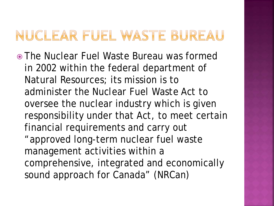#### NUCLEAR FUEL WASTE BUREAU

 The Nuclear Fuel Waste Bureau was formed in 2002 within the federal department of Natural Resources; its mission is to administer the *Nuclear Fuel Waste Act* to oversee the nuclear industry which is given responsibility under that *Act*, to meet certain financial requirements and carry out "approved long-term nuclear fuel waste management activities within a comprehensive, integrated and economically sound approach for Canada" (NRCan)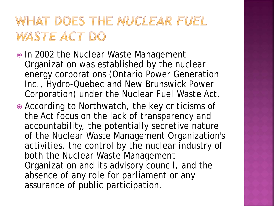#### WHAT DOES THE NUCLEAR FUEL WASTE ACT DO

- In 2002 the Nuclear Waste Management Organization was established by the nuclear energy corporations (Ontario Power Generation Inc., Hydro-Quebec and New Brunswick Power Corporation) under the *Nuclear Fuel Waste Act*.
- According to Northwatch, the key criticisms of the Act focus on the lack of transparency and accountability, the potentially secretive nature of the Nuclear Waste Management Organization's activities, the control by the nuclear industry of both the Nuclear Waste Management Organization and its advisory council, and the absence of any role for parliament or any assurance of public participation.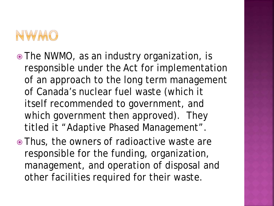

- The NWMO, as an industry organization, is responsible under the Act for implementation of an approach to the long term management of Canada's nuclear fuel waste (which it itself recommended to government, and which government then approved). They titled it "Adaptive Phased Management".
- Thus, the owners of radioactive waste are responsible for the funding, organization, management, and operation of disposal and other facilities required for their waste.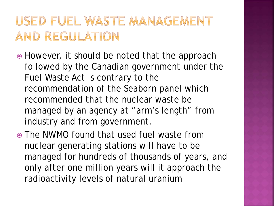#### USED FUEL WASTE MANAGEMENT AND REGULATION

- However, it should be noted that the approach followed by the Canadian government under the Fuel Waste Act is contrary to the recommendation of the Seaborn panel which recommended that the nuclear waste be managed by an agency at "arm's length" from industry and from government.
- The NWMO found that used fuel waste from nuclear generating stations will have to be managed for hundreds of thousands of years, and only after one million years will it approach the radioactivity levels of natural uranium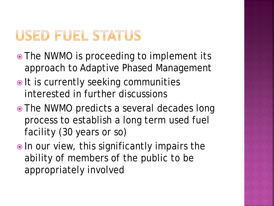### **USED FUEL STATUS**

- The NWMO is proceeding to implement its approach to Adaptive Phased Management
- $\bullet$  It is currently seeking communities interested in further discussions
- The NWMO predicts a several decades long process to establish a long term used fuel facility (30 years or so)
- $\bullet$  In our view, this significantly impairs the ability of members of the public to be appropriately involved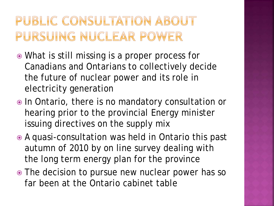#### PUBLIC CONSULTATION ABOUT PURSUING NUCLEAR POWER

- What is still missing is a proper process for Canadians and Ontarians to collectively decide the future of nuclear power and its role in electricity generation
- $\bullet$  In Ontario, there is no mandatory consultation or hearing prior to the provincial Energy minister issuing directives on the supply mix
- A quasi-consultation was held in Ontario this past autumn of 2010 by on line survey dealing with the long term energy plan for the province
- The decision to pursue new nuclear power has so far been at the Ontario cabinet table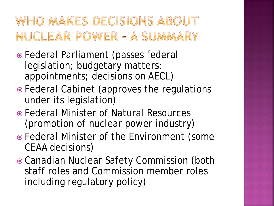#### WHO MAKES DECISIONS ABOUT NUCLEAR POWER - A SUMMARY

- Federal Parliament (passes federal legislation; budgetary matters; appointments; decisions on AECL)
- Federal Cabinet (approves the regulations under its legislation)
- Federal Minister of Natural Resources (promotion of nuclear power industry)
- Federal Minister of the Environment (some CEAA decisions)
- Canadian Nuclear Safety Commission (both staff roles and Commission member roles including regulatory policy)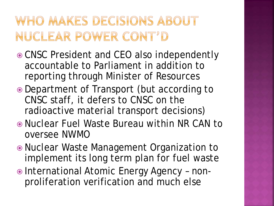#### WHO MAKES DECISIONS ABOUT NUCLEAR POWER CONT'D

- CNSC President and CEO also independently accountable to Parliament in addition to reporting through Minister of Resources
- Department of Transport (but according to CNSC staff, it defers to CNSC on the radioactive material transport decisions)
- Nuclear Fuel Waste Bureau within NR CAN to oversee NWMO
- Nuclear Waste Management Organization to implement its long term plan for fuel waste
- International Atomic Energy Agency nonproliferation verification and much else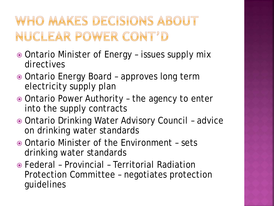### WHO MAKES DECISIONS ABOUT NUCLEAR POWER CONT'D

- Ontario Minister of Energy issues supply mix directives
- Ontario Energy Board approves long term electricity supply plan
- Ontario Power Authority the agency to enter into the supply contracts
- Ontario Drinking Water Advisory Council advice on drinking water standards
- Ontario Minister of the Environment sets drinking water standards
- Federal Provincial Territorial Radiation Protection Committee – negotiates protection guidelines